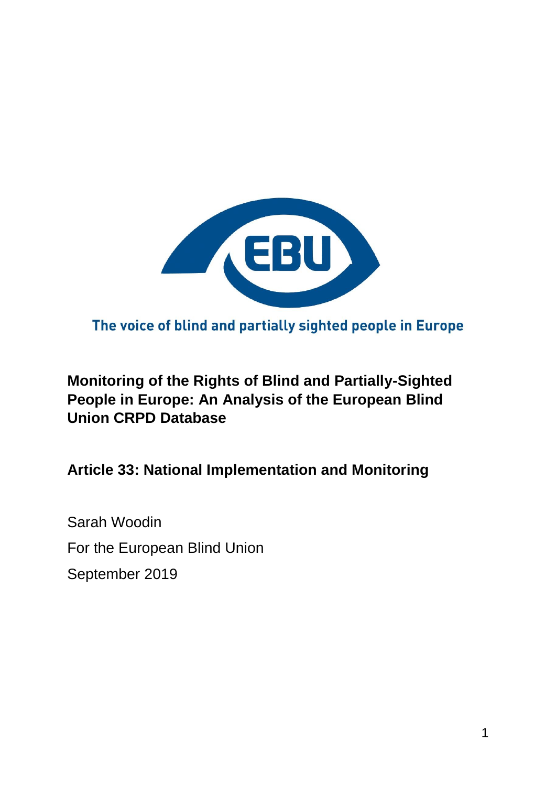

The voice of blind and partially sighted people in Europe

## **Monitoring of the Rights of Blind and Partially-Sighted People in Europe: An Analysis of the European Blind Union CRPD Database**

**Article 33: National Implementation and Monitoring**

Sarah Woodin For the European Blind Union September 2019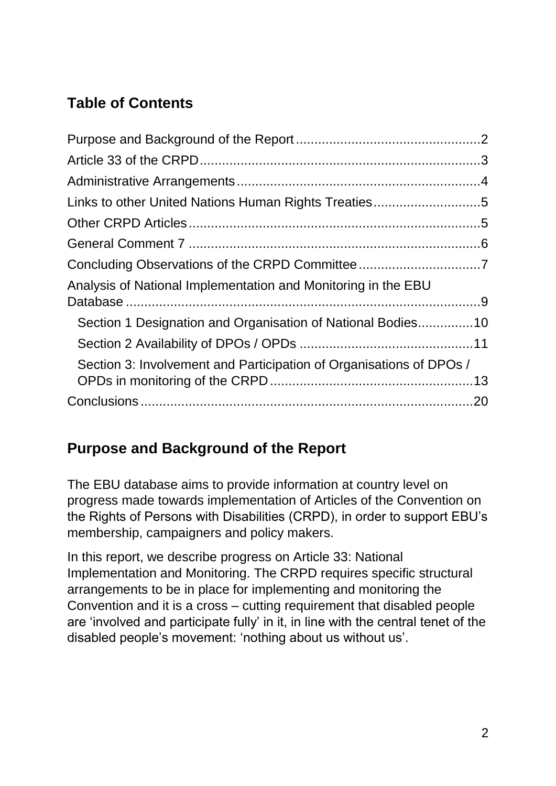# **Table of Contents**

| Section 1 Designation and Organisation of National Bodies10         |
|---------------------------------------------------------------------|
|                                                                     |
| Section 3: Involvement and Participation of Organisations of DPOs / |
|                                                                     |
|                                                                     |

## <span id="page-1-0"></span>**Purpose and Background of the Report**

The EBU database aims to provide information at country level on progress made towards implementation of Articles of the Convention on the Rights of Persons with Disabilities (CRPD), in order to support EBU's membership, campaigners and policy makers.

In this report, we describe progress on Article 33: National Implementation and Monitoring. The CRPD requires specific structural arrangements to be in place for implementing and monitoring the Convention and it is a cross – cutting requirement that disabled people are 'involved and participate fully' in it, in line with the central tenet of the disabled people's movement: 'nothing about us without us'.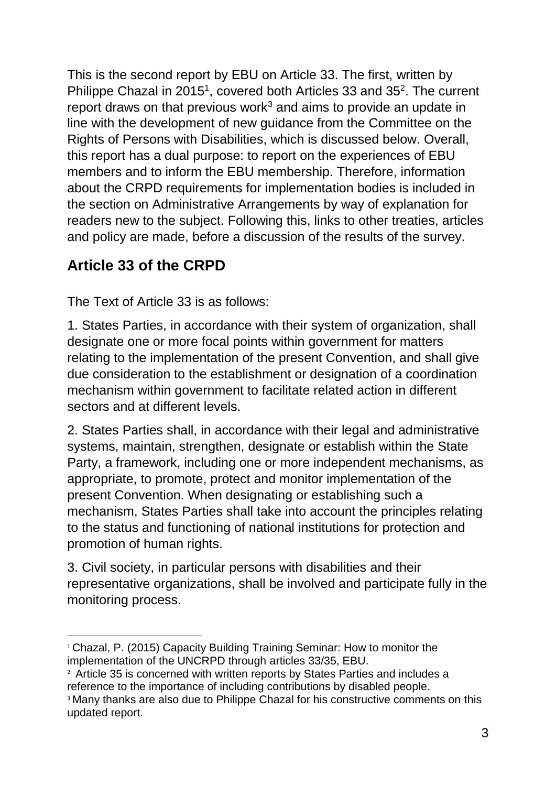This is the second report by EBU on Article 33. The first, written by Philippe Chazal in 2015<sup>1</sup>, covered both Articles 33 and 35<sup>2</sup>. The current report draws on that previous work<sup>3</sup> and aims to provide an update in line with the development of new guidance from the Committee on the Rights of Persons with Disabilities, which is discussed below. Overall, this report has a dual purpose: to report on the experiences of EBU members and to inform the EBU membership. Therefore, information about the CRPD requirements for implementation bodies is included in the section on Administrative Arrangements by way of explanation for readers new to the subject. Following this, links to other treaties, articles and policy are made, before a discussion of the results of the survey.

# <span id="page-2-0"></span>**Article 33 of the CRPD**

The Text of Article 33 is as follows:

1. States Parties, in accordance with their system of organization, shall designate one or more focal points within government for matters relating to the implementation of the present Convention, and shall give due consideration to the establishment or designation of a coordination mechanism within government to facilitate related action in different sectors and at different levels.

2. States Parties shall, in accordance with their legal and administrative systems, maintain, strengthen, designate or establish within the State Party, a framework, including one or more independent mechanisms, as appropriate, to promote, protect and monitor implementation of the present Convention. When designating or establishing such a mechanism, States Parties shall take into account the principles relating to the status and functioning of national institutions for protection and promotion of human rights.

3. Civil society, in particular persons with disabilities and their representative organizations, shall be involved and participate fully in the monitoring process.

<sup>1</sup> <sup>1</sup> Chazal, P. (2015) Capacity Building Training Seminar: How to monitor the implementation of the UNCRPD through articles 33/35, EBU.

<sup>&</sup>lt;sup>2</sup> Article 35 is concerned with written reports by States Parties and includes a reference to the importance of including contributions by disabled people.

<sup>&</sup>lt;sup>3</sup> Many thanks are also due to Philippe Chazal for his constructive comments on this updated report.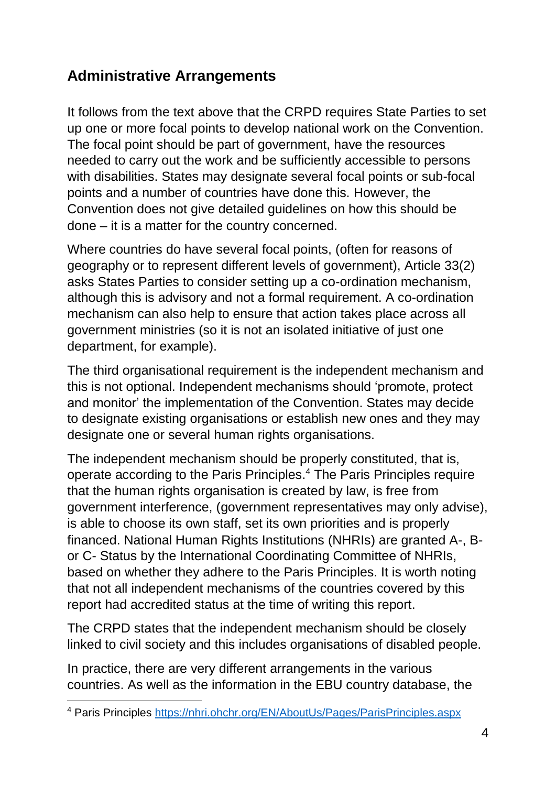## <span id="page-3-0"></span>**Administrative Arrangements**

It follows from the text above that the CRPD requires State Parties to set up one or more focal points to develop national work on the Convention. The focal point should be part of government, have the resources needed to carry out the work and be sufficiently accessible to persons with disabilities. States may designate several focal points or sub-focal points and a number of countries have done this. However, the Convention does not give detailed guidelines on how this should be done – it is a matter for the country concerned.

Where countries do have several focal points, (often for reasons of geography or to represent different levels of government), Article 33(2) asks States Parties to consider setting up a co-ordination mechanism, although this is advisory and not a formal requirement. A co-ordination mechanism can also help to ensure that action takes place across all government ministries (so it is not an isolated initiative of just one department, for example).

The third organisational requirement is the independent mechanism and this is not optional. Independent mechanisms should 'promote, protect and monitor' the implementation of the Convention. States may decide to designate existing organisations or establish new ones and they may designate one or several human rights organisations.

The independent mechanism should be properly constituted, that is, operate according to the Paris Principles.<sup>4</sup> The Paris Principles require that the human rights organisation is created by law, is free from government interference, (government representatives may only advise), is able to choose its own staff, set its own priorities and is properly financed. National Human Rights Institutions (NHRIs) are granted A-, Bor C- Status by the International Coordinating Committee of NHRIs, based on whether they adhere to the Paris Principles. It is worth noting that not all independent mechanisms of the countries covered by this report had accredited status at the time of writing this report.

The CRPD states that the independent mechanism should be closely linked to civil society and this includes organisations of disabled people.

In practice, there are very different arrangements in the various countries. As well as the information in the EBU country database, the

**<sup>.</sup>** <sup>4</sup> Paris Principles<https://nhri.ohchr.org/EN/AboutUs/Pages/ParisPrinciples.aspx>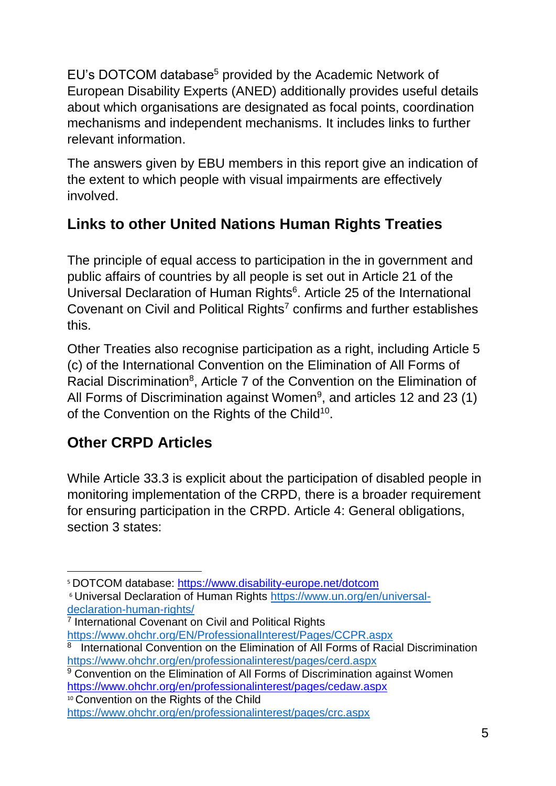EU's DOTCOM database<sup>5</sup> provided by the Academic Network of European Disability Experts (ANED) additionally provides useful details about which organisations are designated as focal points, coordination mechanisms and independent mechanisms. It includes links to further relevant information.

The answers given by EBU members in this report give an indication of the extent to which people with visual impairments are effectively involved.

# <span id="page-4-0"></span>**Links to other United Nations Human Rights Treaties**

The principle of equal access to participation in the in government and public affairs of countries by all people is set out in Article 21 of the Universal Declaration of Human Rights<sup>6</sup>. Article 25 of the International Covenant on Civil and Political Rights<sup>7</sup> confirms and further establishes this.

Other Treaties also recognise participation as a right, including Article 5 (c) of the International Convention on the Elimination of All Forms of Racial Discrimination<sup>8</sup>, Article 7 of the Convention on the Elimination of All Forms of Discrimination against Women<sup>9</sup>, and articles 12 and 23 (1) of the Convention on the Rights of the Child<sup>10</sup>.

# <span id="page-4-1"></span>**Other CRPD Articles**

While Article 33.3 is explicit about the participation of disabled people in monitoring implementation of the CRPD, there is a broader requirement for ensuring participation in the CRPD. Article 4: General obligations, section 3 states:

<sup>10</sup> Convention on the Rights of the Child

<sup>1</sup> <sup>5</sup> DOTCOM database:<https://www.disability-europe.net/dotcom>

<sup>6</sup> Universal Declaration of Human Rights [https://www.un.org/en/universal](https://www.un.org/en/universal-declaration-human-rights/)[declaration-human-rights/](https://www.un.org/en/universal-declaration-human-rights/)

<sup>&</sup>lt;sup>7</sup> International Covenant on Civil and Political Rights <https://www.ohchr.org/EN/ProfessionalInterest/Pages/CCPR.aspx>

<sup>&</sup>lt;sup>8</sup> International Convention on the Elimination of All Forms of Racial Discrimination <https://www.ohchr.org/en/professionalinterest/pages/cerd.aspx>

<sup>&</sup>lt;sup>9</sup> Convention on the Elimination of All Forms of Discrimination against Women <https://www.ohchr.org/en/professionalinterest/pages/cedaw.aspx>

<https://www.ohchr.org/en/professionalinterest/pages/crc.aspx>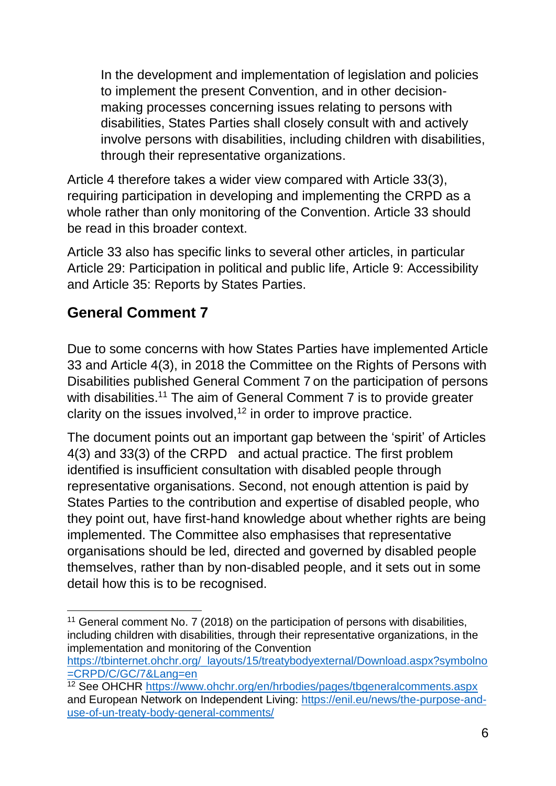In the development and implementation of legislation and policies to implement the present Convention, and in other decisionmaking processes concerning issues relating to persons with disabilities, States Parties shall closely consult with and actively involve persons with disabilities, including children with disabilities, through their representative organizations.

Article 4 therefore takes a wider view compared with Article 33(3), requiring participation in developing and implementing the CRPD as a whole rather than only monitoring of the Convention. Article 33 should be read in this broader context.

Article 33 also has specific links to several other articles, in particular Article 29: Participation in political and public life, Article 9: Accessibility and Article 35: Reports by States Parties.

# <span id="page-5-0"></span>**General Comment 7**

Due to some concerns with how States Parties have implemented Article 33 and Article 4(3), in 2018 the Committee on the Rights of Persons with Disabilities published General Comment 7 on the participation of persons with disabilities.<sup>11</sup> The aim of General Comment 7 is to provide greater clarity on the issues involved, $12$  in order to improve practice.

The document points out an important gap between the 'spirit' of Articles 4(3) and 33(3) of the CRPD and actual practice. The first problem identified is insufficient consultation with disabled people through representative organisations. Second, not enough attention is paid by States Parties to the contribution and expertise of disabled people, who they point out, have first-hand knowledge about whether rights are being implemented. The Committee also emphasises that representative organisations should be led, directed and governed by disabled people themselves, rather than by non-disabled people, and it sets out in some detail how this is to be recognised.

[https://tbinternet.ohchr.org/\\_layouts/15/treatybodyexternal/Download.aspx?symbolno](https://tbinternet.ohchr.org/_layouts/15/treatybodyexternal/Download.aspx?symbolno=CRPD/C/GC/7&Lang=en) [=CRPD/C/GC/7&Lang=en](https://tbinternet.ohchr.org/_layouts/15/treatybodyexternal/Download.aspx?symbolno=CRPD/C/GC/7&Lang=en)

**<sup>.</sup>** <sup>11</sup> General comment No. 7 (2018) on the participation of persons with disabilities, including children with disabilities, through their representative organizations, in the implementation and monitoring of the Convention

<sup>&</sup>lt;sup>12</sup> See OHCHR<https://www.ohchr.org/en/hrbodies/pages/tbgeneralcomments.aspx> and European Network on Independent Living: [https://enil.eu/news/the-purpose-and](https://enil.eu/news/the-purpose-and-use-of-un-treaty-body-general-comments/)[use-of-un-treaty-body-general-comments/](https://enil.eu/news/the-purpose-and-use-of-un-treaty-body-general-comments/)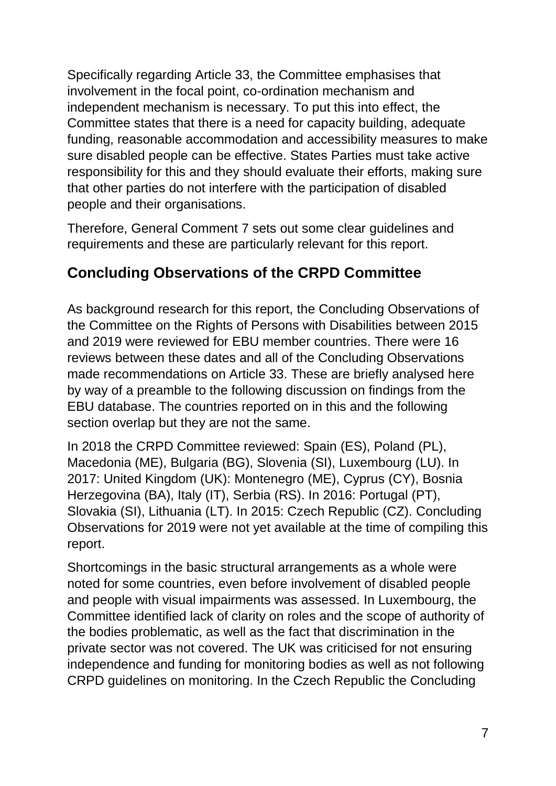Specifically regarding Article 33, the Committee emphasises that involvement in the focal point, co-ordination mechanism and independent mechanism is necessary. To put this into effect, the Committee states that there is a need for capacity building, adequate funding, reasonable accommodation and accessibility measures to make sure disabled people can be effective. States Parties must take active responsibility for this and they should evaluate their efforts, making sure that other parties do not interfere with the participation of disabled people and their organisations.

Therefore, General Comment 7 sets out some clear guidelines and requirements and these are particularly relevant for this report.

## <span id="page-6-0"></span>**Concluding Observations of the CRPD Committee**

As background research for this report, the Concluding Observations of the Committee on the Rights of Persons with Disabilities between 2015 and 2019 were reviewed for EBU member countries. There were 16 reviews between these dates and all of the Concluding Observations made recommendations on Article 33. These are briefly analysed here by way of a preamble to the following discussion on findings from the EBU database. The countries reported on in this and the following section overlap but they are not the same.

In 2018 the CRPD Committee reviewed: Spain (ES), Poland (PL), Macedonia (ME), Bulgaria (BG), Slovenia (SI), Luxembourg (LU). In 2017: United Kingdom (UK): Montenegro (ME), Cyprus (CY), Bosnia Herzegovina (BA), Italy (IT), Serbia (RS). In 2016: Portugal (PT), Slovakia (SI), Lithuania (LT). In 2015: Czech Republic (CZ). Concluding Observations for 2019 were not yet available at the time of compiling this report.

Shortcomings in the basic structural arrangements as a whole were noted for some countries, even before involvement of disabled people and people with visual impairments was assessed. In Luxembourg, the Committee identified lack of clarity on roles and the scope of authority of the bodies problematic, as well as the fact that discrimination in the private sector was not covered. The UK was criticised for not ensuring independence and funding for monitoring bodies as well as not following CRPD guidelines on monitoring. In the Czech Republic the Concluding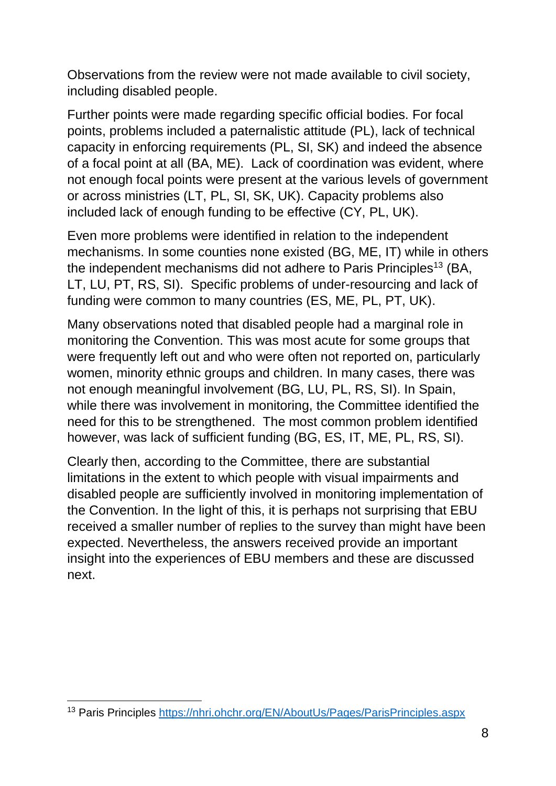Observations from the review were not made available to civil society, including disabled people.

Further points were made regarding specific official bodies. For focal points, problems included a paternalistic attitude (PL), lack of technical capacity in enforcing requirements (PL, SI, SK) and indeed the absence of a focal point at all (BA, ME). Lack of coordination was evident, where not enough focal points were present at the various levels of government or across ministries (LT, PL, SI, SK, UK). Capacity problems also included lack of enough funding to be effective (CY, PL, UK).

Even more problems were identified in relation to the independent mechanisms. In some counties none existed (BG, ME, IT) while in others the independent mechanisms did not adhere to Paris Principles<sup>13</sup> (BA, LT, LU, PT, RS, SI). Specific problems of under-resourcing and lack of funding were common to many countries (ES, ME, PL, PT, UK).

Many observations noted that disabled people had a marginal role in monitoring the Convention. This was most acute for some groups that were frequently left out and who were often not reported on, particularly women, minority ethnic groups and children. In many cases, there was not enough meaningful involvement (BG, LU, PL, RS, SI). In Spain, while there was involvement in monitoring, the Committee identified the need for this to be strengthened. The most common problem identified however, was lack of sufficient funding (BG, ES, IT, ME, PL, RS, SI).

Clearly then, according to the Committee, there are substantial limitations in the extent to which people with visual impairments and disabled people are sufficiently involved in monitoring implementation of the Convention. In the light of this, it is perhaps not surprising that EBU received a smaller number of replies to the survey than might have been expected. Nevertheless, the answers received provide an important insight into the experiences of EBU members and these are discussed next.

**<sup>.</sup>** <sup>13</sup> Paris Principles<https://nhri.ohchr.org/EN/AboutUs/Pages/ParisPrinciples.aspx>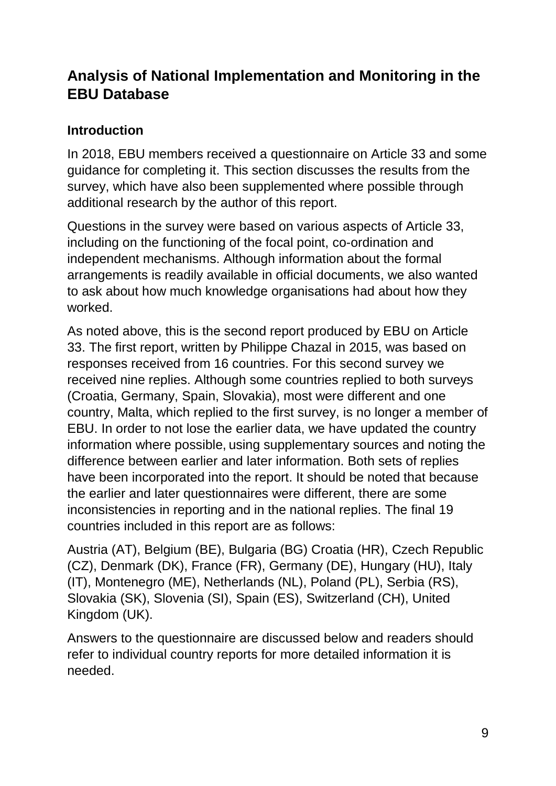## <span id="page-8-0"></span>**Analysis of National Implementation and Monitoring in the EBU Database**

### **Introduction**

In 2018, EBU members received a questionnaire on Article 33 and some guidance for completing it. This section discusses the results from the survey, which have also been supplemented where possible through additional research by the author of this report.

Questions in the survey were based on various aspects of Article 33, including on the functioning of the focal point, co-ordination and independent mechanisms. Although information about the formal arrangements is readily available in official documents, we also wanted to ask about how much knowledge organisations had about how they worked.

As noted above, this is the second report produced by EBU on Article 33. The first report, written by Philippe Chazal in 2015, was based on responses received from 16 countries. For this second survey we received nine replies. Although some countries replied to both surveys (Croatia, Germany, Spain, Slovakia), most were different and one country, Malta, which replied to the first survey, is no longer a member of EBU. In order to not lose the earlier data, we have updated the country information where possible, using supplementary sources and noting the difference between earlier and later information. Both sets of replies have been incorporated into the report. It should be noted that because the earlier and later questionnaires were different, there are some inconsistencies in reporting and in the national replies. The final 19 countries included in this report are as follows:

Austria (AT), Belgium (BE), Bulgaria (BG) Croatia (HR), Czech Republic (CZ), Denmark (DK), France (FR), Germany (DE), Hungary (HU), Italy (IT), Montenegro (ME), Netherlands (NL), Poland (PL), Serbia (RS), Slovakia (SK), Slovenia (SI), Spain (ES), Switzerland (CH), United Kingdom (UK).

Answers to the questionnaire are discussed below and readers should refer to individual country reports for more detailed information it is needed.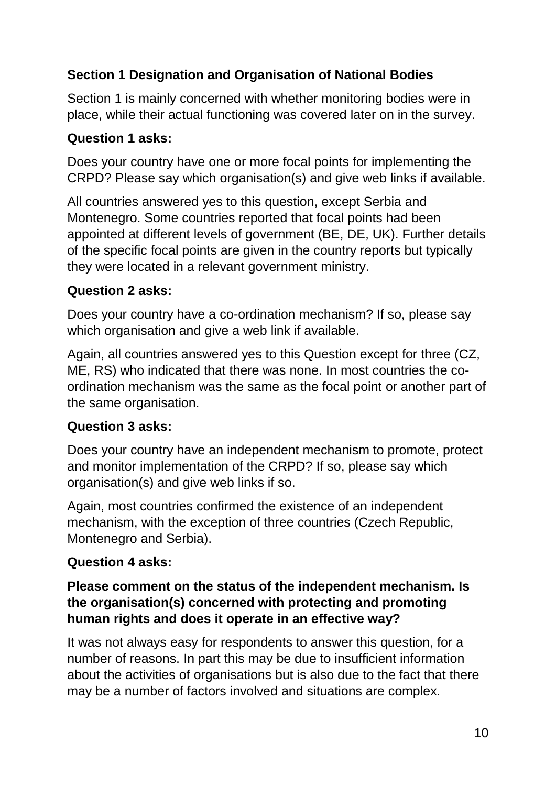## <span id="page-9-0"></span>**Section 1 Designation and Organisation of National Bodies**

Section 1 is mainly concerned with whether monitoring bodies were in place, while their actual functioning was covered later on in the survey.

#### **Question 1 asks:**

Does your country have one or more focal points for implementing the CRPD? Please say which organisation(s) and give web links if available.

All countries answered yes to this question, except Serbia and Montenegro. Some countries reported that focal points had been appointed at different levels of government (BE, DE, UK). Further details of the specific focal points are given in the country reports but typically they were located in a relevant government ministry.

### **Question 2 asks:**

Does your country have a co-ordination mechanism? If so, please say which organisation and give a web link if available.

Again, all countries answered yes to this Question except for three (CZ, ME, RS) who indicated that there was none. In most countries the coordination mechanism was the same as the focal point or another part of the same organisation.

## **Question 3 asks:**

Does your country have an independent mechanism to promote, protect and monitor implementation of the CRPD? If so, please say which organisation(s) and give web links if so.

Again, most countries confirmed the existence of an independent mechanism, with the exception of three countries (Czech Republic, Montenegro and Serbia).

#### **Question 4 asks:**

#### **Please comment on the status of the independent mechanism. Is the organisation(s) concerned with protecting and promoting human rights and does it operate in an effective way?**

It was not always easy for respondents to answer this question, for a number of reasons. In part this may be due to insufficient information about the activities of organisations but is also due to the fact that there may be a number of factors involved and situations are complex.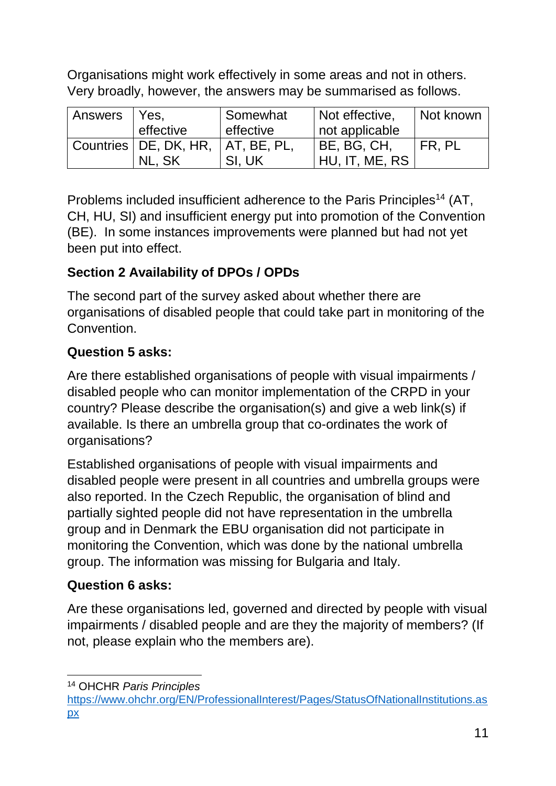Organisations might work effectively in some areas and not in others. Very broadly, however, the answers may be summarised as follows.

| Answers   Yes, |                         | Somewhat      | Not effective, | Not known |
|----------------|-------------------------|---------------|----------------|-----------|
|                | effective               | effective     | not applicable |           |
|                | Countries   DE, DK, HR, | I AT, BE, PL, | BE, BG, CH,    | I FR. PL  |
|                | NL. SK                  | SI, UK        | HU, IT, ME, RS |           |

Problems included insufficient adherence to the Paris Principles<sup>14</sup> (AT, CH, HU, SI) and insufficient energy put into promotion of the Convention (BE). In some instances improvements were planned but had not yet been put into effect.

## <span id="page-10-0"></span>**Section 2 Availability of DPOs / OPDs**

The second part of the survey asked about whether there are organisations of disabled people that could take part in monitoring of the Convention.

## **Question 5 asks:**

Are there established organisations of people with visual impairments / disabled people who can monitor implementation of the CRPD in your country? Please describe the organisation(s) and give a web link(s) if available. Is there an umbrella group that co-ordinates the work of organisations?

Established organisations of people with visual impairments and disabled people were present in all countries and umbrella groups were also reported. In the Czech Republic, the organisation of blind and partially sighted people did not have representation in the umbrella group and in Denmark the EBU organisation did not participate in monitoring the Convention, which was done by the national umbrella group. The information was missing for Bulgaria and Italy.

## **Question 6 asks:**

Are these organisations led, governed and directed by people with visual impairments / disabled people and are they the majority of members? (If not, please explain who the members are).

**.** <sup>14</sup> OHCHR *Paris Principles* 

[https://www.ohchr.org/EN/ProfessionalInterest/Pages/StatusOfNationalInstitutions.as](https://www.ohchr.org/EN/ProfessionalInterest/Pages/StatusOfNationalInstitutions.aspx) [px](https://www.ohchr.org/EN/ProfessionalInterest/Pages/StatusOfNationalInstitutions.aspx)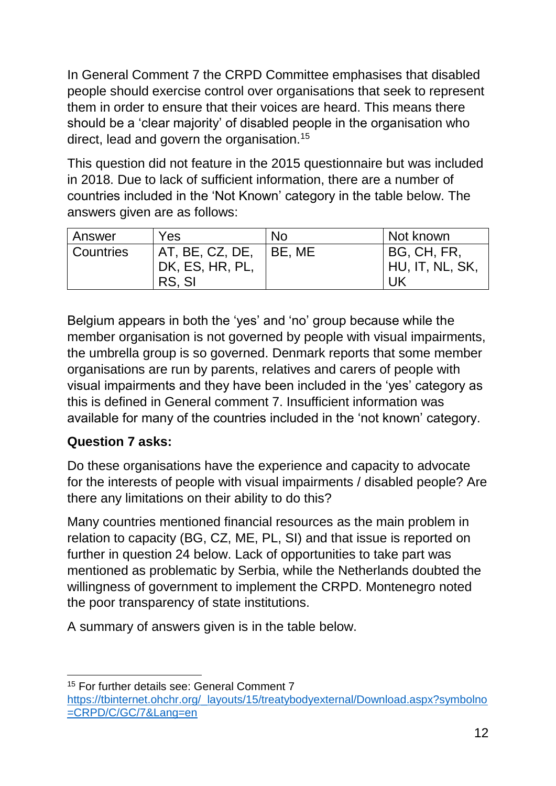In General Comment 7 the CRPD Committee emphasises that disabled people should exercise control over organisations that seek to represent them in order to ensure that their voices are heard. This means there should be a 'clear majority' of disabled people in the organisation who direct, lead and govern the organisation.<sup>15</sup>

This question did not feature in the 2015 questionnaire but was included in 2018. Due to lack of sufficient information, there are a number of countries included in the 'Not Known' category in the table below. The answers given are as follows:

| Answer           | Yes                                          | N <sub>o</sub> | Not known                              |
|------------------|----------------------------------------------|----------------|----------------------------------------|
| <b>Countries</b> | AT, BE, CZ, DE,<br>DK, ES, HR, PL,<br>RS, SI | I BE, ME       | BG, CH, FR,<br>' HU, IT, NL, SK,<br>UK |

Belgium appears in both the 'yes' and 'no' group because while the member organisation is not governed by people with visual impairments, the umbrella group is so governed. Denmark reports that some member organisations are run by parents, relatives and carers of people with visual impairments and they have been included in the 'yes' category as this is defined in General comment 7. Insufficient information was available for many of the countries included in the 'not known' category.

#### **Question 7 asks:**

**.** 

Do these organisations have the experience and capacity to advocate for the interests of people with visual impairments / disabled people? Are there any limitations on their ability to do this?

Many countries mentioned financial resources as the main problem in relation to capacity (BG, CZ, ME, PL, SI) and that issue is reported on further in question 24 below. Lack of opportunities to take part was mentioned as problematic by Serbia, while the Netherlands doubted the willingness of government to implement the CRPD. Montenegro noted the poor transparency of state institutions.

A summary of answers given is in the table below.

<sup>15</sup> For further details see: General Comment 7 [https://tbinternet.ohchr.org/\\_layouts/15/treatybodyexternal/Download.aspx?symbolno](https://tbinternet.ohchr.org/_layouts/15/treatybodyexternal/Download.aspx?symbolno=CRPD/C/GC/7&Lang=en) [=CRPD/C/GC/7&Lang=en](https://tbinternet.ohchr.org/_layouts/15/treatybodyexternal/Download.aspx?symbolno=CRPD/C/GC/7&Lang=en)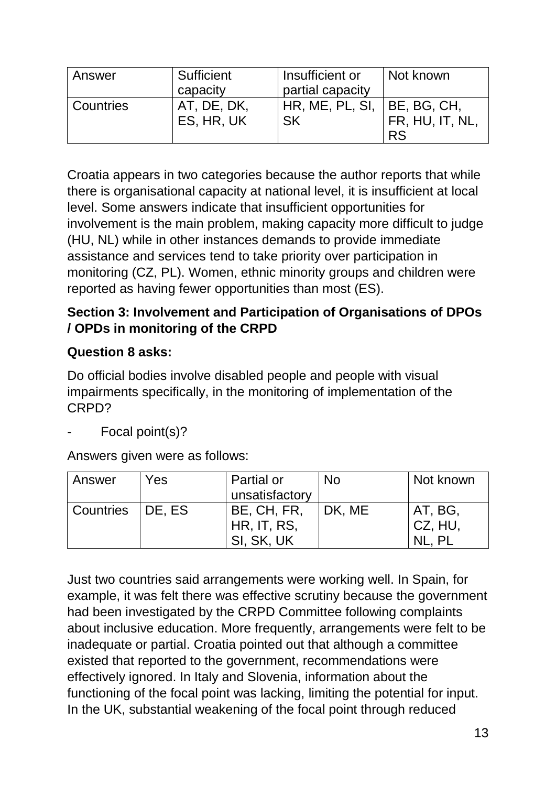| Answer    | Sufficient  | Insufficient or  | Not known      |
|-----------|-------------|------------------|----------------|
|           | capacity    | partial capacity |                |
| Countries | AT, DE, DK, | HR, ME, PL, SI,  | BE, BG, CH,    |
|           | ES, HR, UK  | <b>SK</b>        | FR, HU, IT, NL |
|           |             |                  | <b>RS</b>      |

Croatia appears in two categories because the author reports that while there is organisational capacity at national level, it is insufficient at local level. Some answers indicate that insufficient opportunities for involvement is the main problem, making capacity more difficult to judge (HU, NL) while in other instances demands to provide immediate assistance and services tend to take priority over participation in monitoring (CZ, PL). Women, ethnic minority groups and children were reported as having fewer opportunities than most (ES).

## <span id="page-12-0"></span>**Section 3: Involvement and Participation of Organisations of DPOs / OPDs in monitoring of the CRPD**

## **Question 8 asks:**

Do official bodies involve disabled people and people with visual impairments specifically, in the monitoring of implementation of the CRPD?

Focal point(s)?

Answers given were as follows:

| Answer             | Yes | Partial or     | <b>No</b> | Not known |
|--------------------|-----|----------------|-----------|-----------|
|                    |     | unsatisfactory |           |           |
| Countries   DE, ES |     | BE, CH, FR,    | DK, ME    | AT, BG,   |
|                    |     | HR, IT, RS,    |           | CZ, HU,   |
|                    |     | SI, SK, UK     |           |           |

Just two countries said arrangements were working well. In Spain, for example, it was felt there was effective scrutiny because the government had been investigated by the CRPD Committee following complaints about inclusive education. More frequently, arrangements were felt to be inadequate or partial. Croatia pointed out that although a committee existed that reported to the government, recommendations were effectively ignored. In Italy and Slovenia, information about the functioning of the focal point was lacking, limiting the potential for input. In the UK, substantial weakening of the focal point through reduced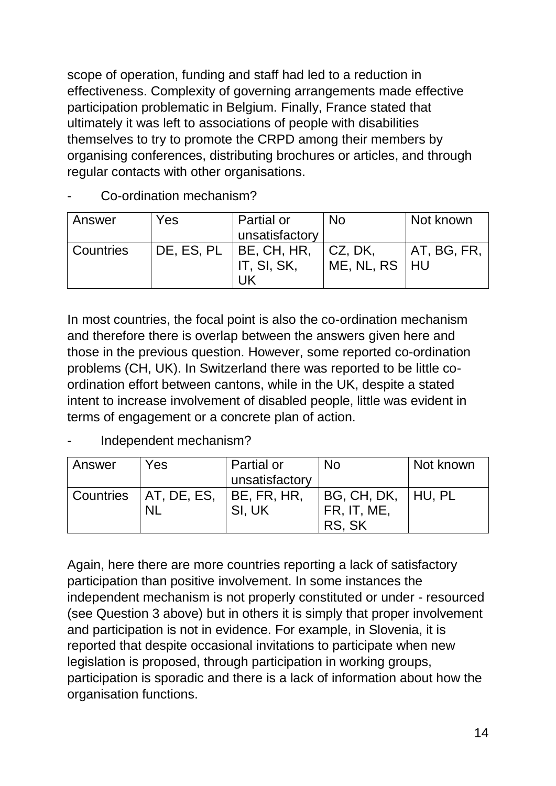scope of operation, funding and staff had led to a reduction in effectiveness. Complexity of governing arrangements made effective participation problematic in Belgium. Finally, France stated that ultimately it was left to associations of people with disabilities themselves to try to promote the CRPD among their members by organising conferences, distributing brochures or articles, and through regular contacts with other organisations.

#### Co-ordination mechanism?

| Answer    | Yes                        | Partial or     | <b>No</b>       | Not known   |
|-----------|----------------------------|----------------|-----------------|-------------|
|           |                            | unsatisfactory |                 |             |
| Countries | DE, ES, PL     BE, CH, HR, |                | $ $ CZ, DK,     | AT, BG, FR, |
|           |                            | IT, SI, SK,    | ME, NL, RS   HU |             |
|           |                            |                |                 |             |

In most countries, the focal point is also the co-ordination mechanism and therefore there is overlap between the answers given here and those in the previous question. However, some reported co-ordination problems (CH, UK). In Switzerland there was reported to be little coordination effort between cantons, while in the UK, despite a stated intent to increase involvement of disabled people, little was evident in terms of engagement or a concrete plan of action.

Independent mechanism?

| Answer | Yes                                  | Partial or<br>unsatisfactory | <b>No</b>                                       | Not known |
|--------|--------------------------------------|------------------------------|-------------------------------------------------|-----------|
|        | Countries   AT, DE, ES,<br><b>NL</b> | BE, FR, HR,<br>SI, UK        | BG, CH, DK,     HU, PL<br>FR, IT, ME,<br>RS, SK |           |

Again, here there are more countries reporting a lack of satisfactory participation than positive involvement. In some instances the independent mechanism is not properly constituted or under - resourced (see Question 3 above) but in others it is simply that proper involvement and participation is not in evidence. For example, in Slovenia, it is reported that despite occasional invitations to participate when new legislation is proposed, through participation in working groups, participation is sporadic and there is a lack of information about how the organisation functions.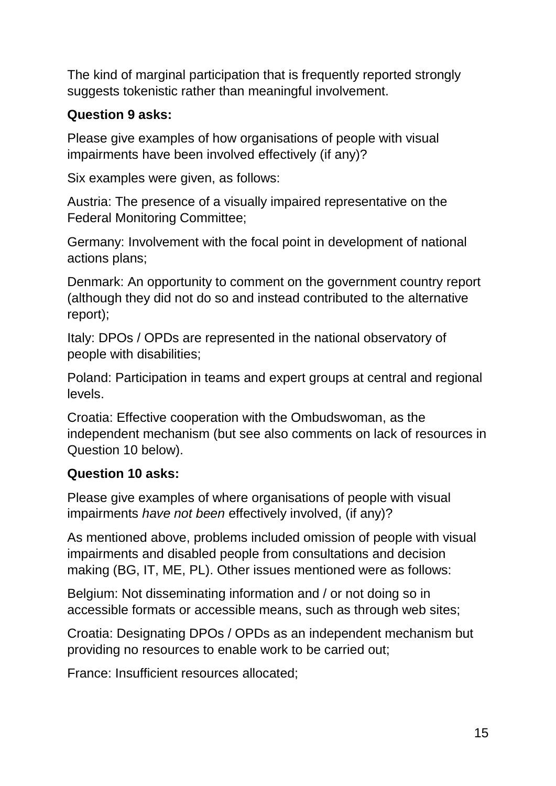The kind of marginal participation that is frequently reported strongly suggests tokenistic rather than meaningful involvement.

#### **Question 9 asks:**

Please give examples of how organisations of people with visual impairments have been involved effectively (if any)?

Six examples were given, as follows:

Austria: The presence of a visually impaired representative on the Federal Monitoring Committee;

Germany: Involvement with the focal point in development of national actions plans;

Denmark: An opportunity to comment on the government country report (although they did not do so and instead contributed to the alternative report);

Italy: DPOs / OPDs are represented in the national observatory of people with disabilities;

Poland: Participation in teams and expert groups at central and regional levels.

Croatia: Effective cooperation with the Ombudswoman, as the independent mechanism (but see also comments on lack of resources in Question 10 below).

#### **Question 10 asks:**

Please give examples of where organisations of people with visual impairments *have not been* effectively involved, (if any)?

As mentioned above, problems included omission of people with visual impairments and disabled people from consultations and decision making (BG, IT, ME, PL). Other issues mentioned were as follows:

Belgium: Not disseminating information and / or not doing so in accessible formats or accessible means, such as through web sites;

Croatia: Designating DPOs / OPDs as an independent mechanism but providing no resources to enable work to be carried out;

France: Insufficient resources allocated;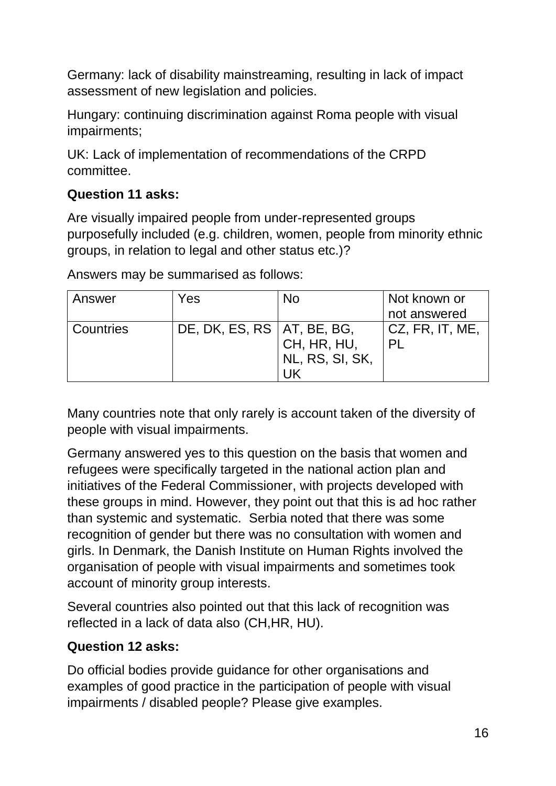Germany: lack of disability mainstreaming, resulting in lack of impact assessment of new legislation and policies.

Hungary: continuing discrimination against Roma people with visual impairments;

UK: Lack of implementation of recommendations of the CRPD committee.

#### **Question 11 asks:**

Are visually impaired people from under-represented groups purposefully included (e.g. children, women, people from minority ethnic groups, in relation to legal and other status etc.)?

Answers may be summarised as follows:

| Answer    | Yes                          | No              | Not known or    |
|-----------|------------------------------|-----------------|-----------------|
|           |                              |                 | not answered    |
| Countries | DE, DK, ES, RS   AT, BE, BG, |                 | CZ, FR, IT, ME, |
|           |                              | CH, HR, HU,     |                 |
|           |                              | NL, RS, SI, SK, |                 |
|           |                              |                 |                 |

Many countries note that only rarely is account taken of the diversity of people with visual impairments.

Germany answered yes to this question on the basis that women and refugees were specifically targeted in the national action plan and initiatives of the Federal Commissioner, with projects developed with these groups in mind. However, they point out that this is ad hoc rather than systemic and systematic. Serbia noted that there was some recognition of gender but there was no consultation with women and girls. In Denmark, the Danish Institute on Human Rights involved the organisation of people with visual impairments and sometimes took account of minority group interests.

Several countries also pointed out that this lack of recognition was reflected in a lack of data also (CH,HR, HU).

#### **Question 12 asks:**

Do official bodies provide guidance for other organisations and examples of good practice in the participation of people with visual impairments / disabled people? Please give examples.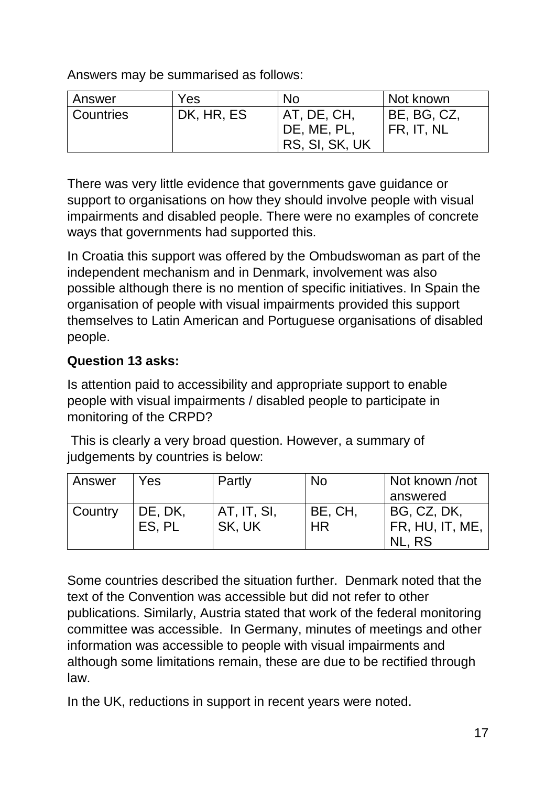Answers may be summarised as follows:

| Answer    | Yes        | <b>No</b>      | I Not known              |
|-----------|------------|----------------|--------------------------|
| Countries | DK, HR, ES | AT, DE, CH,    | <sup>1</sup> BE, BG, CZ, |
|           |            | DE, ME, PL,    | FR, IT, NL               |
|           |            | RS, SI, SK, UK |                          |

There was very little evidence that governments gave guidance or support to organisations on how they should involve people with visual impairments and disabled people. There were no examples of concrete ways that governments had supported this.

In Croatia this support was offered by the Ombudswoman as part of the independent mechanism and in Denmark, involvement was also possible although there is no mention of specific initiatives. In Spain the organisation of people with visual impairments provided this support themselves to Latin American and Portuguese organisations of disabled people.

### **Question 13 asks:**

Is attention paid to accessibility and appropriate support to enable people with visual impairments / disabled people to participate in monitoring of the CRPD?

This is clearly a very broad question. However, a summary of judgements by countries is below:

| Answer  | Yes     | Partly      | <b>No</b> | Not known /not            |
|---------|---------|-------------|-----------|---------------------------|
|         |         |             |           | answered                  |
| Country | DE, DK, | AT, IT, SI, | BE, CH,   | BG, CZ, DK,               |
|         | ES. PL  | SK, UK      | <b>HR</b> | FR, HU, IT, ME,<br>NL. RS |

Some countries described the situation further. Denmark noted that the text of the Convention was accessible but did not refer to other publications. Similarly, Austria stated that work of the federal monitoring committee was accessible. In Germany, minutes of meetings and other information was accessible to people with visual impairments and although some limitations remain, these are due to be rectified through law.

In the UK, reductions in support in recent years were noted.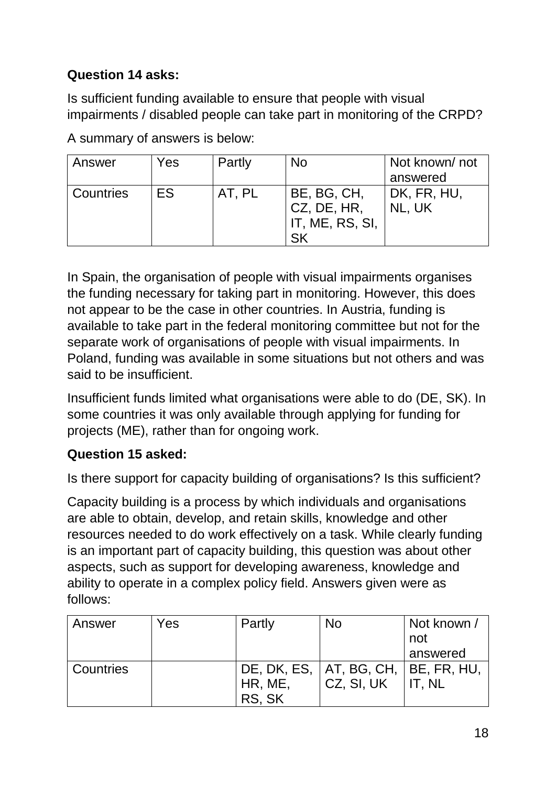## **Question 14 asks:**

Is sufficient funding available to ensure that people with visual impairments / disabled people can take part in monitoring of the CRPD?

| Answer    | Yes | Partly | <b>No</b>                                     | Not known/not<br>answered |
|-----------|-----|--------|-----------------------------------------------|---------------------------|
| Countries | ES. | AT, PL | BE, BG, CH,<br>CZ, DE, HR,<br>IT, ME, RS, SI, | DK, FR, HU,<br>NL, UK     |

A summary of answers is below:

In Spain, the organisation of people with visual impairments organises the funding necessary for taking part in monitoring. However, this does not appear to be the case in other countries. In Austria, funding is available to take part in the federal monitoring committee but not for the separate work of organisations of people with visual impairments. In Poland, funding was available in some situations but not others and was said to be insufficient.

Insufficient funds limited what organisations were able to do (DE, SK). In some countries it was only available through applying for funding for projects (ME), rather than for ongoing work.

## **Question 15 asked:**

Is there support for capacity building of organisations? Is this sufficient?

Capacity building is a process by which individuals and organisations are able to obtain, develop, and retain skills, knowledge and other resources needed to do work effectively on a task. While clearly funding is an important part of capacity building, this question was about other aspects, such as support for developing awareness, knowledge and ability to operate in a complex policy field. Answers given were as follows:

| Answer    | Yes | Partly  | <b>No</b>                               | Not known /                    |
|-----------|-----|---------|-----------------------------------------|--------------------------------|
|           |     |         |                                         | not                            |
|           |     |         |                                         | answered                       |
| Countries |     |         | DE, DK, ES,   AT, BG, CH,   BE, FR, HU, |                                |
|           |     | HR, ME, | CZ, SI, UK                              | $\overline{\mathsf{I}}$ IT. NL |
|           |     | RS, SK  |                                         |                                |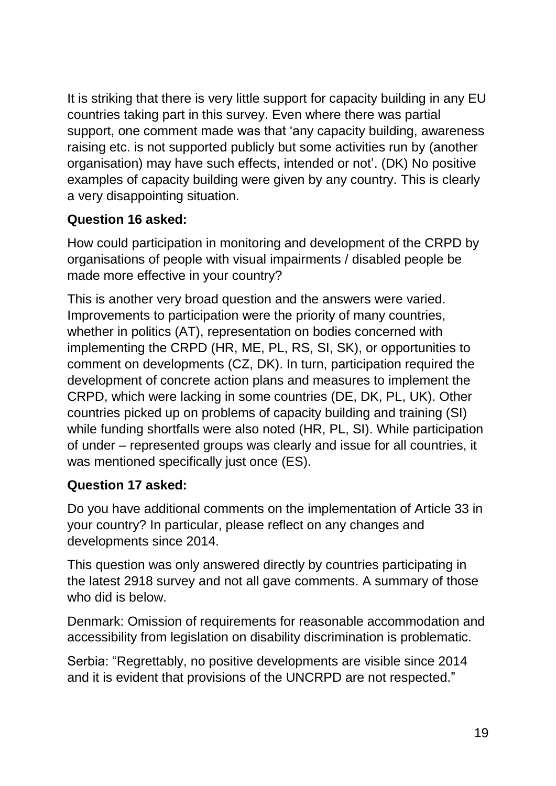It is striking that there is very little support for capacity building in any EU countries taking part in this survey. Even where there was partial support, one comment made was that 'any capacity building, awareness raising etc. is not supported publicly but some activities run by (another organisation) may have such effects, intended or not'. (DK) No positive examples of capacity building were given by any country. This is clearly a very disappointing situation.

### **Question 16 asked:**

How could participation in monitoring and development of the CRPD by organisations of people with visual impairments / disabled people be made more effective in your country?

This is another very broad question and the answers were varied. Improvements to participation were the priority of many countries, whether in politics (AT), representation on bodies concerned with implementing the CRPD (HR, ME, PL, RS, SI, SK), or opportunities to comment on developments (CZ, DK). In turn, participation required the development of concrete action plans and measures to implement the CRPD, which were lacking in some countries (DE, DK, PL, UK). Other countries picked up on problems of capacity building and training (SI) while funding shortfalls were also noted (HR, PL, SI). While participation of under – represented groups was clearly and issue for all countries, it was mentioned specifically just once (ES).

## **Question 17 asked:**

Do you have additional comments on the implementation of Article 33 in your country? In particular, please reflect on any changes and developments since 2014.

This question was only answered directly by countries participating in the latest 2918 survey and not all gave comments. A summary of those who did is below.

Denmark: Omission of requirements for reasonable accommodation and accessibility from legislation on disability discrimination is problematic.

Serbia: "Regrettably, no positive developments are visible since 2014 and it is evident that provisions of the UNCRPD are not respected."